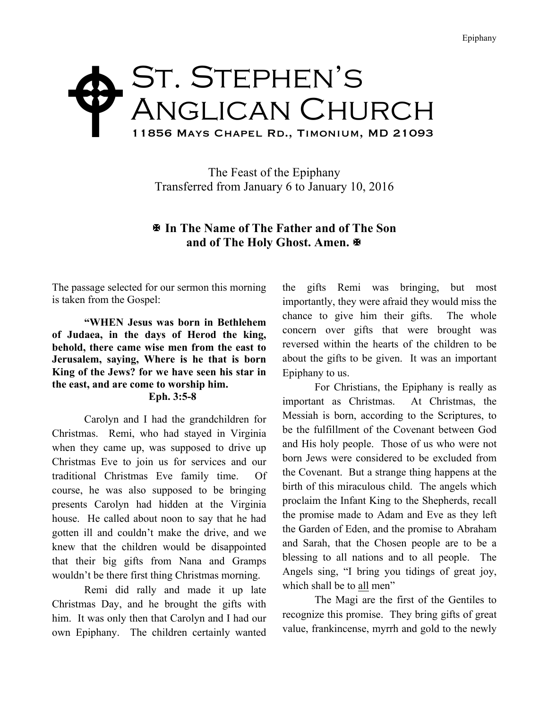## ST. STEPHEN'S Anglican Church 11856 Mays Chapel Rd., Timonium, MD 21093  $\blacklozenge$

The Feast of the Epiphany Transferred from January 6 to January 10, 2016

## X **In The Name of The Father and of The Son and of The Holy Ghost. Amen.** X

The passage selected for our sermon this morning is taken from the Gospel:

**"WHEN Jesus was born in Bethlehem of Judaea, in the days of Herod the king, behold, there came wise men from the east to Jerusalem, saying, Where is he that is born King of the Jews? for we have seen his star in the east, and are come to worship him. Eph. 3:5-8**

Carolyn and I had the grandchildren for Christmas. Remi, who had stayed in Virginia when they came up, was supposed to drive up Christmas Eve to join us for services and our traditional Christmas Eve family time. Of course, he was also supposed to be bringing presents Carolyn had hidden at the Virginia house. He called about noon to say that he had gotten ill and couldn't make the drive, and we knew that the children would be disappointed that their big gifts from Nana and Gramps wouldn't be there first thing Christmas morning.

Remi did rally and made it up late Christmas Day, and he brought the gifts with him. It was only then that Carolyn and I had our own Epiphany. The children certainly wanted

the gifts Remi was bringing, but most importantly, they were afraid they would miss the chance to give him their gifts. The whole concern over gifts that were brought was reversed within the hearts of the children to be about the gifts to be given. It was an important Epiphany to us.

For Christians, the Epiphany is really as important as Christmas. At Christmas, the Messiah is born, according to the Scriptures, to be the fulfillment of the Covenant between God and His holy people. Those of us who were not born Jews were considered to be excluded from the Covenant. But a strange thing happens at the birth of this miraculous child. The angels which proclaim the Infant King to the Shepherds, recall the promise made to Adam and Eve as they left the Garden of Eden, and the promise to Abraham and Sarah, that the Chosen people are to be a blessing to all nations and to all people. The Angels sing, "I bring you tidings of great joy, which shall be to all men"

The Magi are the first of the Gentiles to recognize this promise. They bring gifts of great value, frankincense, myrrh and gold to the newly